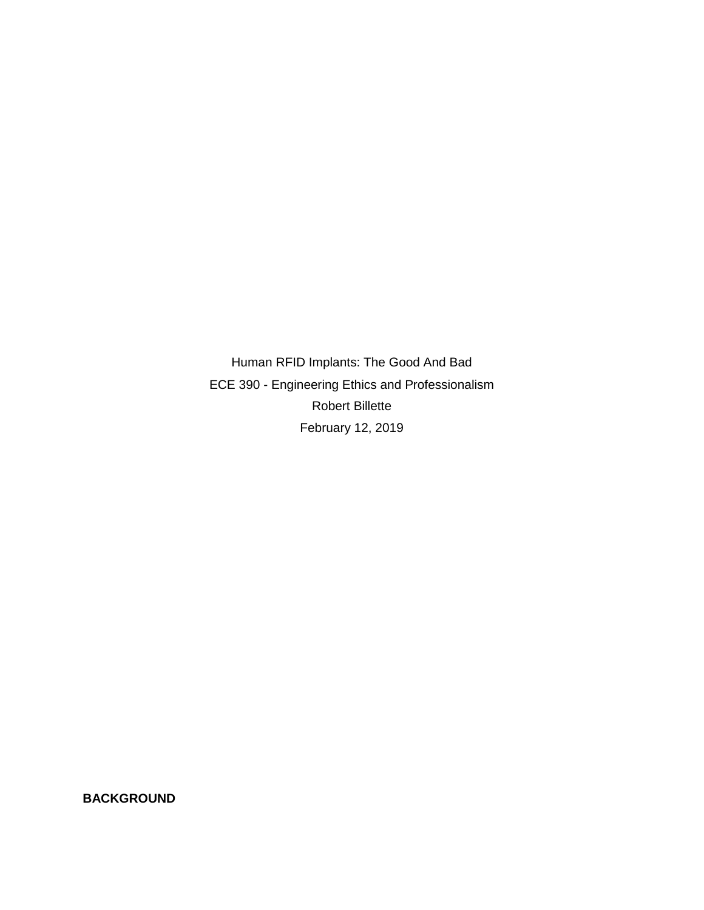Human RFID Implants: The Good And Bad ECE 390 - Engineering Ethics and Professionalism Robert Billette February 12, 2019

**BACKGROUND**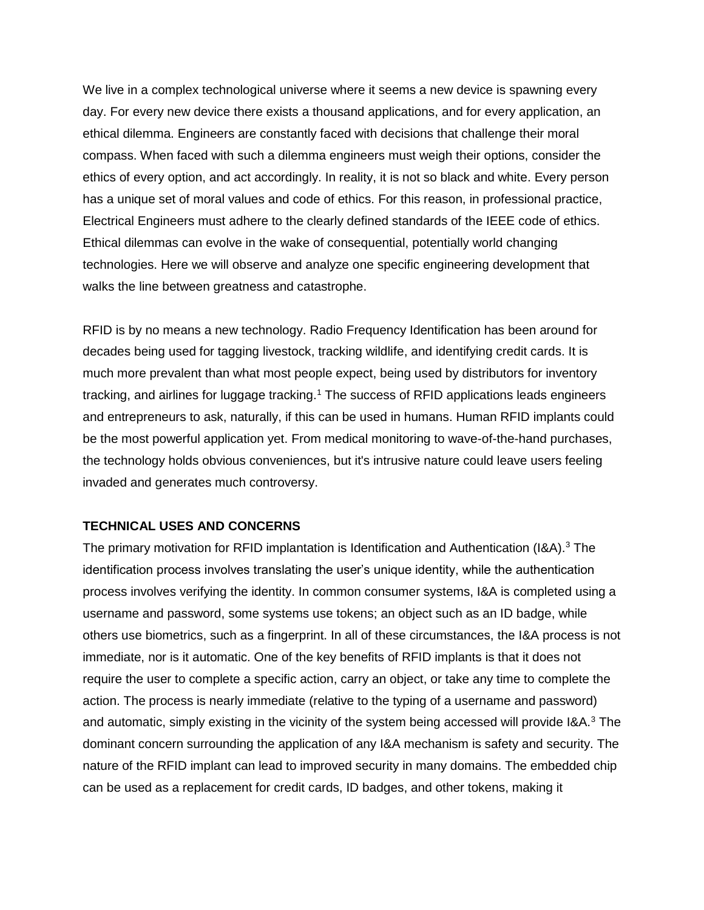We live in a complex technological universe where it seems a new device is spawning every day. For every new device there exists a thousand applications, and for every application, an ethical dilemma. Engineers are constantly faced with decisions that challenge their moral compass. When faced with such a dilemma engineers must weigh their options, consider the ethics of every option, and act accordingly. In reality, it is not so black and white. Every person has a unique set of moral values and code of ethics. For this reason, in professional practice, Electrical Engineers must adhere to the clearly defined standards of the IEEE code of ethics. Ethical dilemmas can evolve in the wake of consequential, potentially world changing technologies. Here we will observe and analyze one specific engineering development that walks the line between greatness and catastrophe.

RFID is by no means a new technology. Radio Frequency Identification has been around for decades being used for tagging livestock, tracking wildlife, and identifying credit cards. It is much more prevalent than what most people expect, being used by distributors for inventory tracking, and airlines for luggage tracking.<sup>1</sup> The success of RFID applications leads engineers and entrepreneurs to ask, naturally, if this can be used in humans. Human RFID implants could be the most powerful application yet. From medical monitoring to wave-of-the-hand purchases, the technology holds obvious conveniences, but it's intrusive nature could leave users feeling invaded and generates much controversy.

## **TECHNICAL USES AND CONCERNS**

The primary motivation for RFID implantation is Identification and Authentication (I&A).<sup>3</sup> The identification process involves translating the user's unique identity, while the authentication process involves verifying the identity. In common consumer systems, I&A is completed using a username and password, some systems use tokens; an object such as an ID badge, while others use biometrics, such as a fingerprint. In all of these circumstances, the I&A process is not immediate, nor is it automatic. One of the key benefits of RFID implants is that it does not require the user to complete a specific action, carry an object, or take any time to complete the action. The process is nearly immediate (relative to the typing of a username and password) and automatic, simply existing in the vicinity of the system being accessed will provide  $I\&A$ .<sup>3</sup> The dominant concern surrounding the application of any I&A mechanism is safety and security. The nature of the RFID implant can lead to improved security in many domains. The embedded chip can be used as a replacement for credit cards, ID badges, and other tokens, making it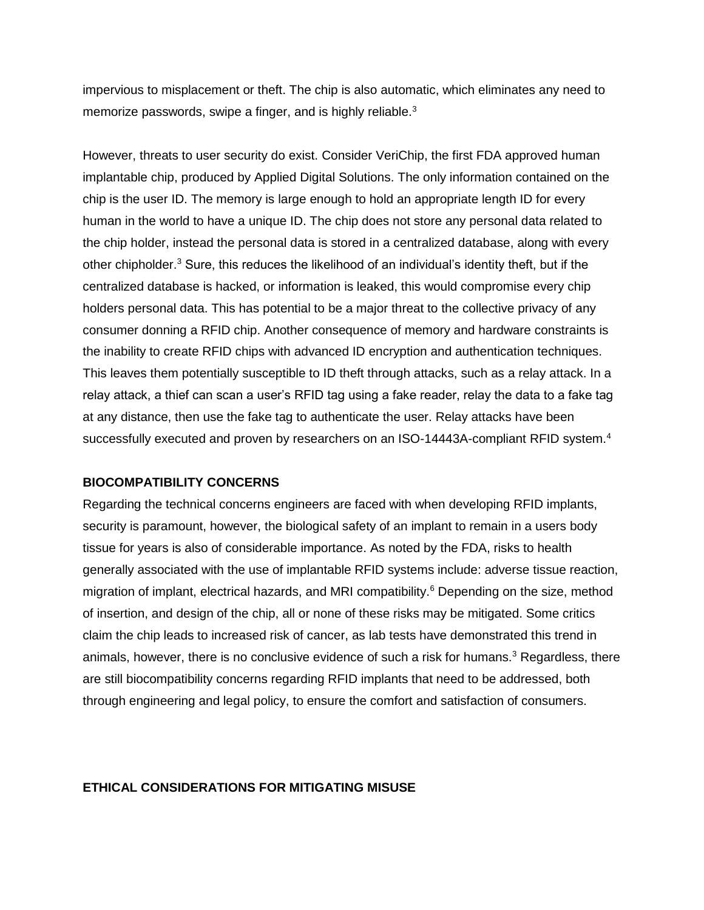impervious to misplacement or theft. The chip is also automatic, which eliminates any need to memorize passwords, swipe a finger, and is highly reliable. $3$ 

However, threats to user security do exist. Consider VeriChip, the first FDA approved human implantable chip, produced by Applied Digital Solutions. The only information contained on the chip is the user ID. The memory is large enough to hold an appropriate length ID for every human in the world to have a unique ID. The chip does not store any personal data related to the chip holder, instead the personal data is stored in a centralized database, along with every other chipholder.<sup>3</sup> Sure, this reduces the likelihood of an individual's identity theft, but if the centralized database is hacked, or information is leaked, this would compromise every chip holders personal data. This has potential to be a major threat to the collective privacy of any consumer donning a RFID chip. Another consequence of memory and hardware constraints is the inability to create RFID chips with advanced ID encryption and authentication techniques. This leaves them potentially susceptible to ID theft through attacks, such as a relay attack. In a relay attack, a thief can scan a user's RFID tag using a fake reader, relay the data to a fake tag at any distance, then use the fake tag to authenticate the user. Relay attacks have been successfully executed and proven by researchers on an ISO-14443A-compliant RFID system.<sup>4</sup>

## **BIOCOMPATIBILITY CONCERNS**

Regarding the technical concerns engineers are faced with when developing RFID implants, security is paramount, however, the biological safety of an implant to remain in a users body tissue for years is also of considerable importance. As noted by the FDA, risks to health generally associated with the use of implantable RFID systems include: adverse tissue reaction, migration of implant, electrical hazards, and MRI compatibility.<sup>6</sup> Depending on the size, method of insertion, and design of the chip, all or none of these risks may be mitigated. Some critics claim the chip leads to increased risk of cancer, as lab tests have demonstrated this trend in animals, however, there is no conclusive evidence of such a risk for humans.<sup>3</sup> Regardless, there are still biocompatibility concerns regarding RFID implants that need to be addressed, both through engineering and legal policy, to ensure the comfort and satisfaction of consumers.

#### **ETHICAL CONSIDERATIONS FOR MITIGATING MISUSE**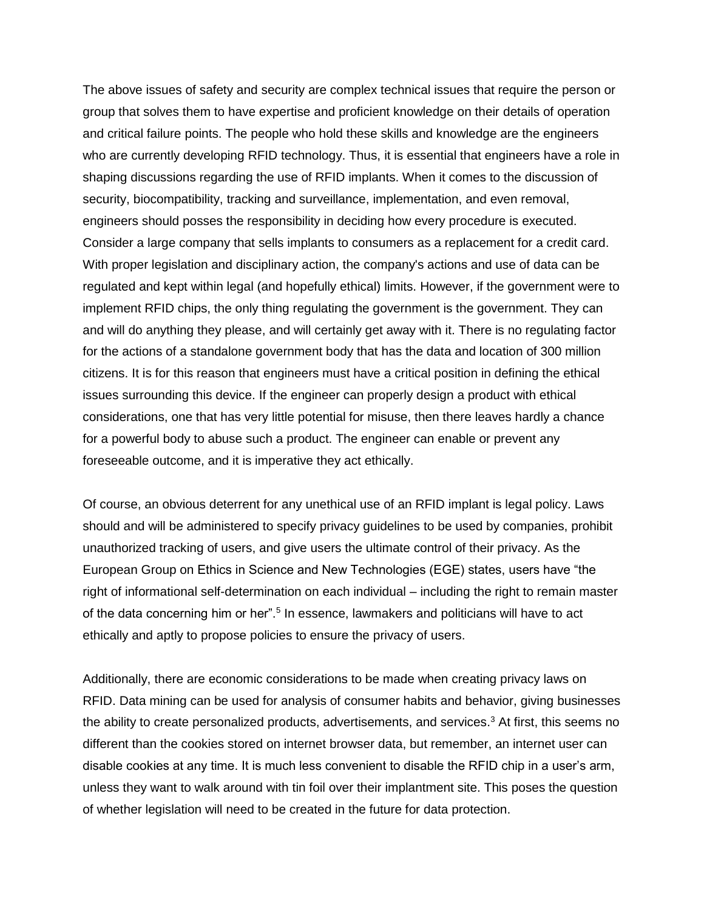The above issues of safety and security are complex technical issues that require the person or group that solves them to have expertise and proficient knowledge on their details of operation and critical failure points. The people who hold these skills and knowledge are the engineers who are currently developing RFID technology. Thus, it is essential that engineers have a role in shaping discussions regarding the use of RFID implants. When it comes to the discussion of security, biocompatibility, tracking and surveillance, implementation, and even removal, engineers should posses the responsibility in deciding how every procedure is executed. Consider a large company that sells implants to consumers as a replacement for a credit card. With proper legislation and disciplinary action, the company's actions and use of data can be regulated and kept within legal (and hopefully ethical) limits. However, if the government were to implement RFID chips, the only thing regulating the government is the government. They can and will do anything they please, and will certainly get away with it. There is no regulating factor for the actions of a standalone government body that has the data and location of 300 million citizens. It is for this reason that engineers must have a critical position in defining the ethical issues surrounding this device. If the engineer can properly design a product with ethical considerations, one that has very little potential for misuse, then there leaves hardly a chance for a powerful body to abuse such a product. The engineer can enable or prevent any foreseeable outcome, and it is imperative they act ethically.

Of course, an obvious deterrent for any unethical use of an RFID implant is legal policy. Laws should and will be administered to specify privacy guidelines to be used by companies, prohibit unauthorized tracking of users, and give users the ultimate control of their privacy. As the European Group on Ethics in Science and New Technologies (EGE) states, users have "the right of informational self-determination on each individual – including the right to remain master of the data concerning him or her".<sup>5</sup> In essence, lawmakers and politicians will have to act ethically and aptly to propose policies to ensure the privacy of users.

Additionally, there are economic considerations to be made when creating privacy laws on RFID. Data mining can be used for analysis of consumer habits and behavior, giving businesses the ability to create personalized products, advertisements, and services.<sup>3</sup> At first, this seems no different than the cookies stored on internet browser data, but remember, an internet user can disable cookies at any time. It is much less convenient to disable the RFID chip in a user's arm, unless they want to walk around with tin foil over their implantment site. This poses the question of whether legislation will need to be created in the future for data protection.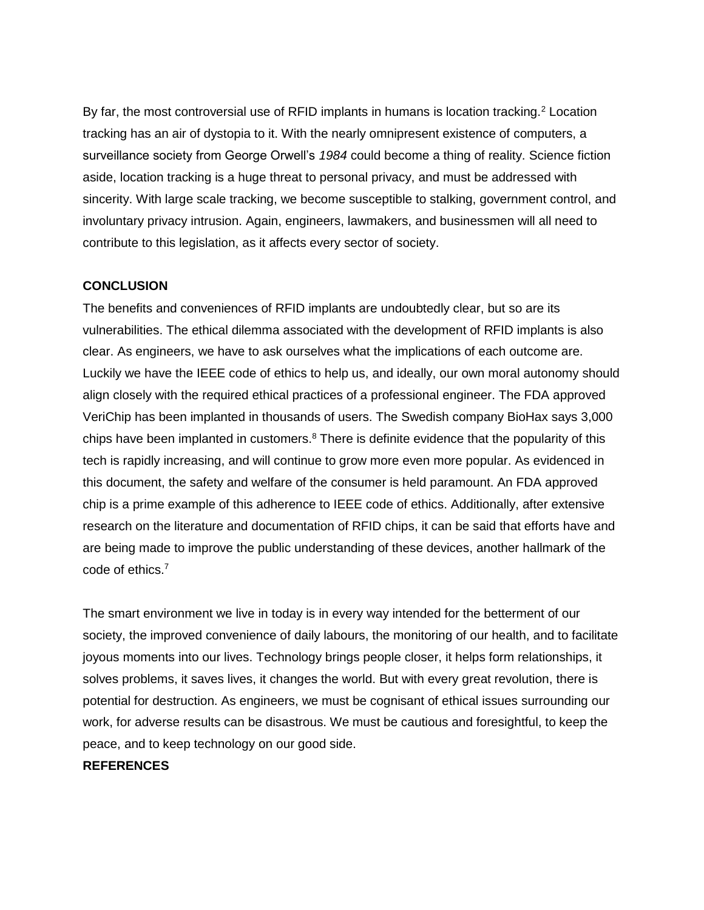By far, the most controversial use of RFID implants in humans is location tracking.<sup>2</sup> Location tracking has an air of dystopia to it. With the nearly omnipresent existence of computers, a surveillance society from George Orwell's *1984* could become a thing of reality. Science fiction aside, location tracking is a huge threat to personal privacy, and must be addressed with sincerity. With large scale tracking, we become susceptible to stalking, government control, and involuntary privacy intrusion. Again, engineers, lawmakers, and businessmen will all need to contribute to this legislation, as it affects every sector of society.

## **CONCLUSION**

The benefits and conveniences of RFID implants are undoubtedly clear, but so are its vulnerabilities. The ethical dilemma associated with the development of RFID implants is also clear. As engineers, we have to ask ourselves what the implications of each outcome are. Luckily we have the IEEE code of ethics to help us, and ideally, our own moral autonomy should align closely with the required ethical practices of a professional engineer. The FDA approved VeriChip has been implanted in thousands of users. The Swedish company BioHax says 3,000 chips have been implanted in customers. $8$  There is definite evidence that the popularity of this tech is rapidly increasing, and will continue to grow more even more popular. As evidenced in this document, the safety and welfare of the consumer is held paramount. An FDA approved chip is a prime example of this adherence to IEEE code of ethics. Additionally, after extensive research on the literature and documentation of RFID chips, it can be said that efforts have and are being made to improve the public understanding of these devices, another hallmark of the code of ethics.<sup>7</sup>

The smart environment we live in today is in every way intended for the betterment of our society, the improved convenience of daily labours, the monitoring of our health, and to facilitate joyous moments into our lives. Technology brings people closer, it helps form relationships, it solves problems, it saves lives, it changes the world. But with every great revolution, there is potential for destruction. As engineers, we must be cognisant of ethical issues surrounding our work, for adverse results can be disastrous. We must be cautious and foresightful, to keep the peace, and to keep technology on our good side.

# **REFERENCES**